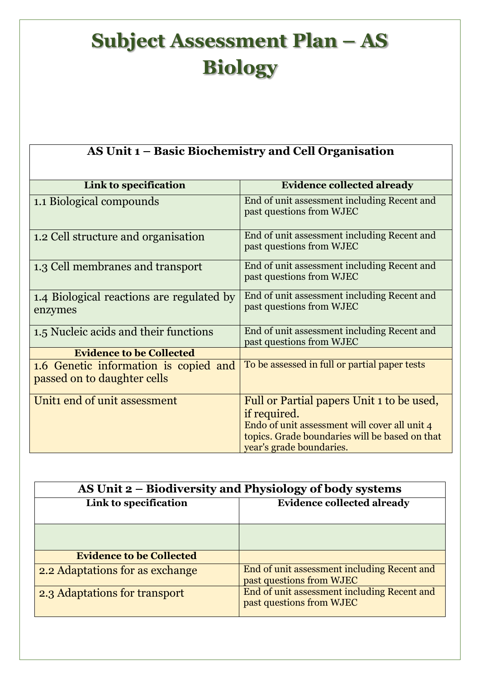## **Subject Assessment Plan – AS Biology**

| AS Unit 1 – Basic Biochemistry and Cell Organisation                 |                                                                                                                                                                                          |
|----------------------------------------------------------------------|------------------------------------------------------------------------------------------------------------------------------------------------------------------------------------------|
| Link to specification                                                | <b>Evidence collected already</b>                                                                                                                                                        |
| 1.1 Biological compounds                                             | End of unit assessment including Recent and<br>past questions from WJEC                                                                                                                  |
| 1.2 Cell structure and organisation                                  | End of unit assessment including Recent and<br>past questions from WJEC                                                                                                                  |
| 1.3 Cell membranes and transport                                     | End of unit assessment including Recent and<br>past questions from WJEC                                                                                                                  |
| 1.4 Biological reactions are regulated by<br>enzymes                 | End of unit assessment including Recent and<br>past questions from WJEC                                                                                                                  |
| 1.5 Nucleic acids and their functions                                | End of unit assessment including Recent and<br>past questions from WJEC                                                                                                                  |
| <b>Evidence to be Collected</b>                                      |                                                                                                                                                                                          |
| 1.6 Genetic information is copied and<br>passed on to daughter cells | To be assessed in full or partial paper tests                                                                                                                                            |
| Unit1 end of unit assessment                                         | Full or Partial papers Unit 1 to be used,<br>if required.<br>Endo of unit assessment will cover all unit 4<br>topics. Grade boundaries will be based on that<br>year's grade boundaries. |

| AS Unit 2 – Biodiversity and Physiology of body systems |                                                                         |
|---------------------------------------------------------|-------------------------------------------------------------------------|
| Link to specification                                   | <b>Evidence collected already</b>                                       |
|                                                         |                                                                         |
| <b>Evidence to be Collected</b>                         |                                                                         |
| 2.2 Adaptations for as exchange                         | End of unit assessment including Recent and<br>past questions from WJEC |
| 2.3 Adaptations for transport                           | End of unit assessment including Recent and<br>past questions from WJEC |